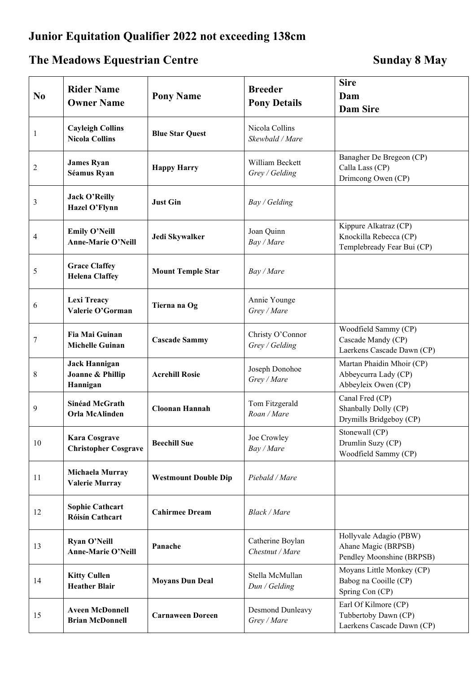## **Junior Equitation Qualifier 2022 not exceeding 138cm**

## The Meadows Equestrian Centre **Sunday 8** May

| N <sub>0</sub> | <b>Rider Name</b><br><b>Owner Name</b>               | <b>Pony Name</b>            | <b>Breeder</b><br><b>Pony Details</b> | <b>Sire</b><br>Dam<br><b>Dam Sire</b>                                         |
|----------------|------------------------------------------------------|-----------------------------|---------------------------------------|-------------------------------------------------------------------------------|
| 1              | <b>Cayleigh Collins</b><br><b>Nicola Collins</b>     | <b>Blue Star Quest</b>      | Nicola Collins<br>Skewbald / Mare     |                                                                               |
| $\overline{c}$ | <b>James Ryan</b><br>Séamus Ryan                     | <b>Happy Harry</b>          | William Beckett<br>Grey / Gelding     | Banagher De Bregeon (CP)<br>Calla Lass (CP)<br>Drimcong Owen (CP)             |
| 3              | <b>Jack O'Reilly</b><br>Hazel O'Flynn                | <b>Just Gin</b>             | Bay / Gelding                         |                                                                               |
| 4              | <b>Emily O'Neill</b><br>Anne-Marie O'Neill           | Jedi Skywalker              | Joan Quinn<br>Bay / Mare              | Kippure Alkatraz (CP)<br>Knockilla Rebecca (CP)<br>Templebready Fear Bui (CP) |
| 5              | <b>Grace Claffey</b><br><b>Helena Claffey</b>        | <b>Mount Temple Star</b>    | Bay / Mare                            |                                                                               |
| 6              | <b>Lexi Treacy</b><br>Valerie O'Gorman               | Tierna na Og                | Annie Younge<br>Grey / Mare           |                                                                               |
| 7              | Fia Mai Guinan<br><b>Michelle Guinan</b>             | <b>Cascade Sammy</b>        | Christy O'Connor<br>Grey / Gelding    | Woodfield Sammy (CP)<br>Cascade Mandy (CP)<br>Laerkens Cascade Dawn (CP)      |
| 8              | <b>Jack Hannigan</b><br>Joanne & Phillip<br>Hannigan | <b>Acrehill Rosie</b>       | Joseph Donohoe<br>Grey / Mare         | Martan Phaidin Mhoir (CP)<br>Abbeycurra Lady (CP)<br>Abbeyleix Owen (CP)      |
| 9              | Sinéad McGrath<br>Orla McAlinden                     | <b>Cloonan Hannah</b>       | Tom Fitzgerald<br>Roan / Mare         | Canal Fred (CP)<br>Shanbally Dolly (CP)<br>Drymills Bridgeboy (CP)            |
| 10             | <b>Kara Cosgrave</b><br><b>Christopher Cosgrave</b>  | <b>Beechill Sue</b>         | Joe Crowley<br>Bay / Mare             | Stonewall (CP)<br>Drumlin Suzy (CP)<br>Woodfield Sammy (CP)                   |
| 11             | Michaela Murray<br><b>Valerie Murray</b>             | <b>Westmount Double Dip</b> | Piebald / Mare                        |                                                                               |
| 12             | <b>Sophie Cathcart</b><br><b>Róisín Cathcart</b>     | <b>Cahirmee Dream</b>       | Black / Mare                          |                                                                               |
| 13             | Ryan O'Neill<br>Anne-Marie O'Neill                   | Panache                     | Catherine Boylan<br>Chestnut / Mare   | Hollyvale Adagio (PBW)<br>Ahane Magic (BRPSB)<br>Pendley Moonshine (BRPSB)    |
| 14             | <b>Kitty Cullen</b><br><b>Heather Blair</b>          | <b>Moyans Dun Deal</b>      | Stella McMullan<br>Dun / Gelding      | Moyans Little Monkey (CP)<br>Babog na Cooille (CP)<br>Spring Con (CP)         |
| 15             | <b>Aveen McDonnell</b><br><b>Brian McDonnell</b>     | <b>Carnaween Doreen</b>     | Desmond Dunleavy<br>Grey / Mare       | Earl Of Kilmore (CP)<br>Tubbertoby Dawn (CP)<br>Laerkens Cascade Dawn (CP)    |